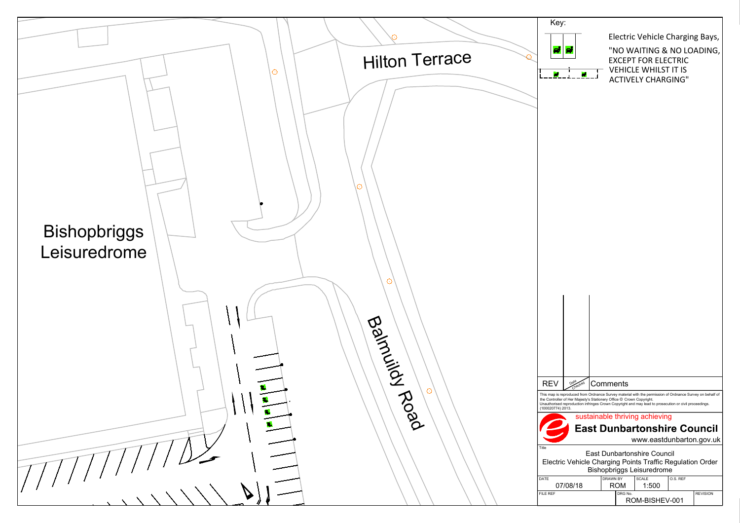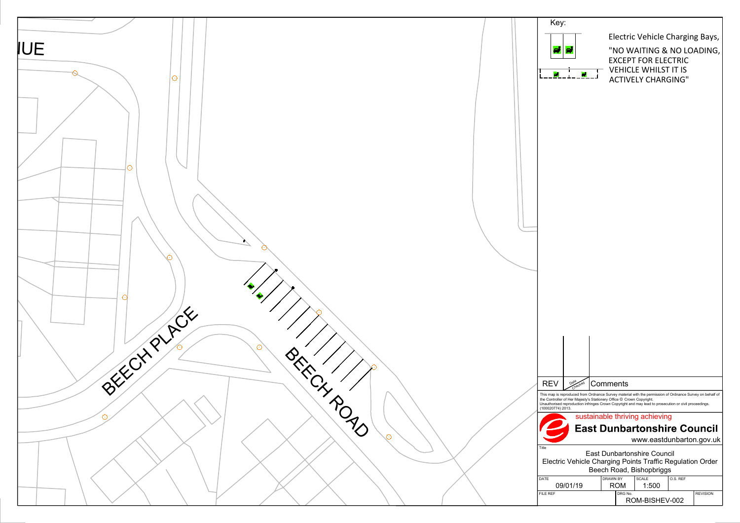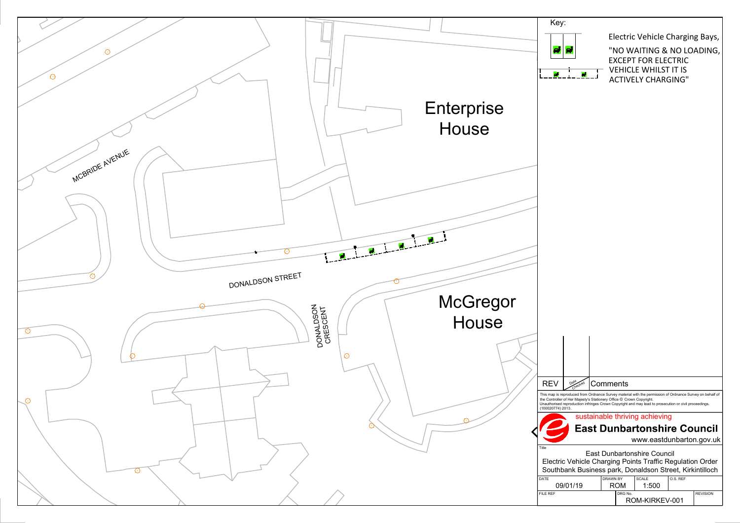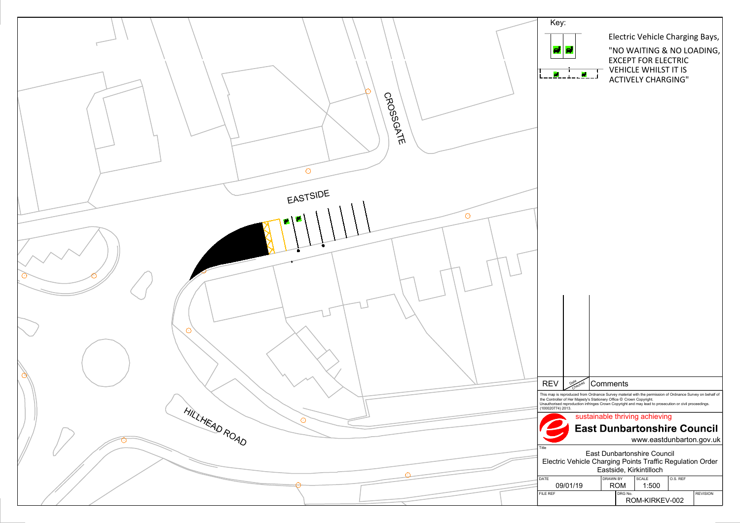![](_page_3_Figure_0.jpeg)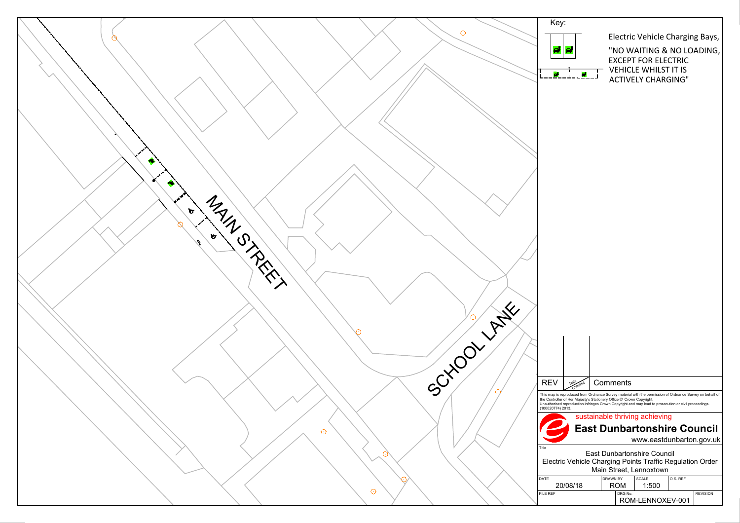![](_page_4_Figure_0.jpeg)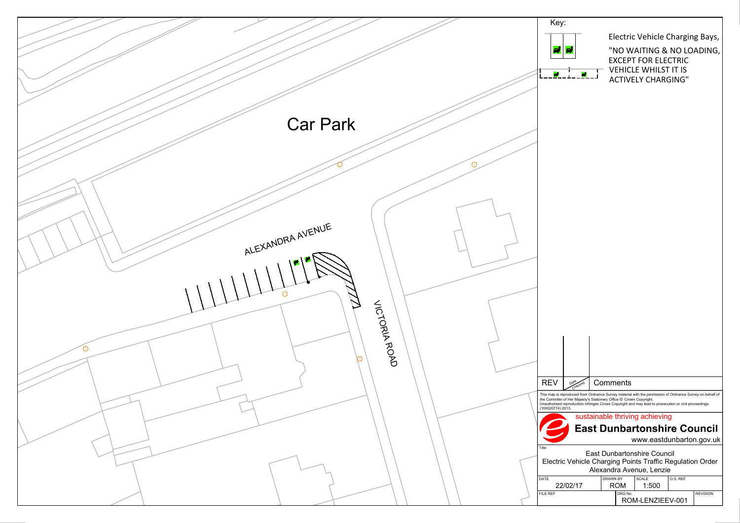![](_page_5_Figure_0.jpeg)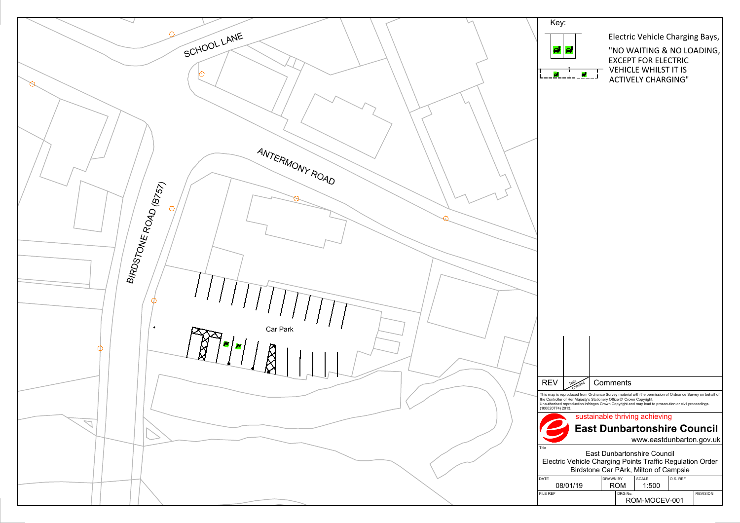![](_page_6_Figure_0.jpeg)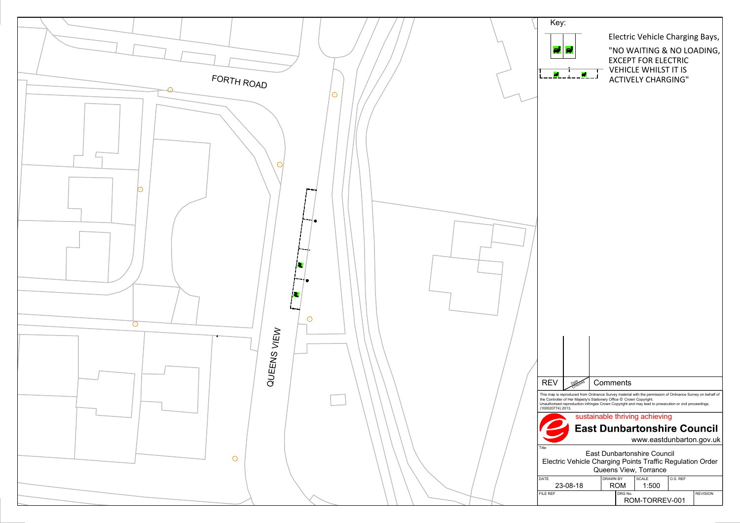![](_page_7_Figure_0.jpeg)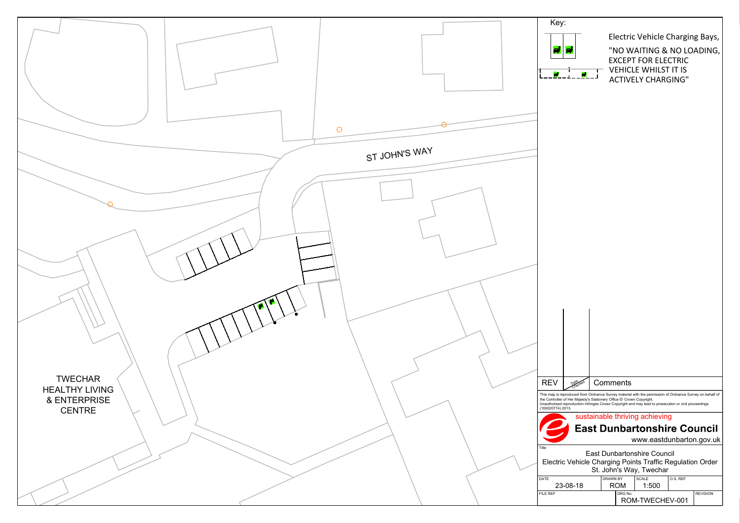![](_page_8_Figure_0.jpeg)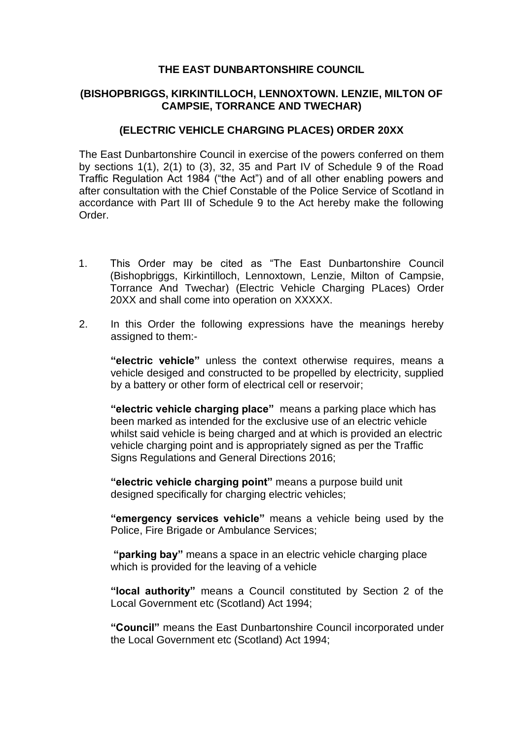# **THE EAST DUNBARTONSHIRE COUNCIL**

## **(BISHOPBRIGGS, KIRKINTILLOCH, LENNOXTOWN. LENZIE, MILTON OF CAMPSIE, TORRANCE AND TWECHAR)**

# **(ELECTRIC VEHICLE CHARGING PLACES) ORDER 20XX**

The East Dunbartonshire Council in exercise of the powers conferred on them by sections 1(1), 2(1) to (3), 32, 35 and Part IV of Schedule 9 of the Road Traffic Regulation Act 1984 ("the Act") and of all other enabling powers and after consultation with the Chief Constable of the Police Service of Scotland in accordance with Part III of Schedule 9 to the Act hereby make the following Order.

- 1. This Order may be cited as "The East Dunbartonshire Council (Bishopbriggs, Kirkintilloch, Lennoxtown, Lenzie, Milton of Campsie, Torrance And Twechar) (Electric Vehicle Charging PLaces) Order 20XX and shall come into operation on XXXXX.
- 2. In this Order the following expressions have the meanings hereby assigned to them:-

**"electric vehicle"** unless the context otherwise requires, means a vehicle desiged and constructed to be propelled by electricity, supplied by a battery or other form of electrical cell or reservoir;

**"electric vehicle charging place"** means a parking place which has been marked as intended for the exclusive use of an electric vehicle whilst said vehicle is being charged and at which is provided an electric vehicle charging point and is appropriately signed as per the Traffic Signs Regulations and General Directions 2016;

**"electric vehicle charging point"** means a purpose build unit designed specifically for charging electric vehicles;

**"emergency services vehicle"** means a vehicle being used by the Police, Fire Brigade or Ambulance Services;

**"parking bay"** means a space in an electric vehicle charging place which is provided for the leaving of a vehicle

**"local authority"** means a Council constituted by Section 2 of the Local Government etc (Scotland) Act 1994;

**"Council"** means the East Dunbartonshire Council incorporated under the Local Government etc (Scotland) Act 1994;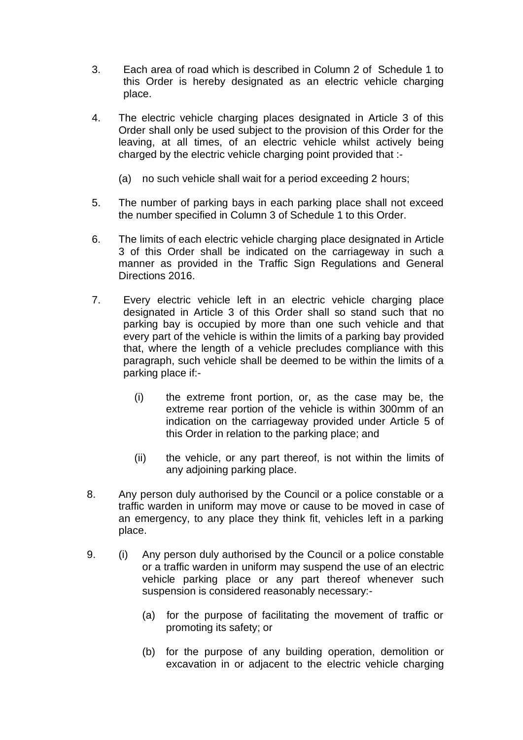- 3. Each area of road which is described in Column 2 of Schedule 1 to this Order is hereby designated as an electric vehicle charging place.
- 4. The electric vehicle charging places designated in Article 3 of this Order shall only be used subject to the provision of this Order for the leaving, at all times, of an electric vehicle whilst actively being charged by the electric vehicle charging point provided that :-
	- (a) no such vehicle shall wait for a period exceeding 2 hours;
- 5. The number of parking bays in each parking place shall not exceed the number specified in Column 3 of Schedule 1 to this Order.
- 6. The limits of each electric vehicle charging place designated in Article 3 of this Order shall be indicated on the carriageway in such a manner as provided in the Traffic Sign Regulations and General Directions 2016.
- 7. Every electric vehicle left in an electric vehicle charging place designated in Article 3 of this Order shall so stand such that no parking bay is occupied by more than one such vehicle and that every part of the vehicle is within the limits of a parking bay provided that, where the length of a vehicle precludes compliance with this paragraph, such vehicle shall be deemed to be within the limits of a parking place if:-
	- (i) the extreme front portion, or, as the case may be, the extreme rear portion of the vehicle is within 300mm of an indication on the carriageway provided under Article 5 of this Order in relation to the parking place; and
	- (ii) the vehicle, or any part thereof, is not within the limits of any adjoining parking place.
- 8. Any person duly authorised by the Council or a police constable or a traffic warden in uniform may move or cause to be moved in case of an emergency, to any place they think fit, vehicles left in a parking place.
- 9. (i) Any person duly authorised by the Council or a police constable or a traffic warden in uniform may suspend the use of an electric vehicle parking place or any part thereof whenever such suspension is considered reasonably necessary:-
	- (a) for the purpose of facilitating the movement of traffic or promoting its safety; or
	- (b) for the purpose of any building operation, demolition or excavation in or adjacent to the electric vehicle charging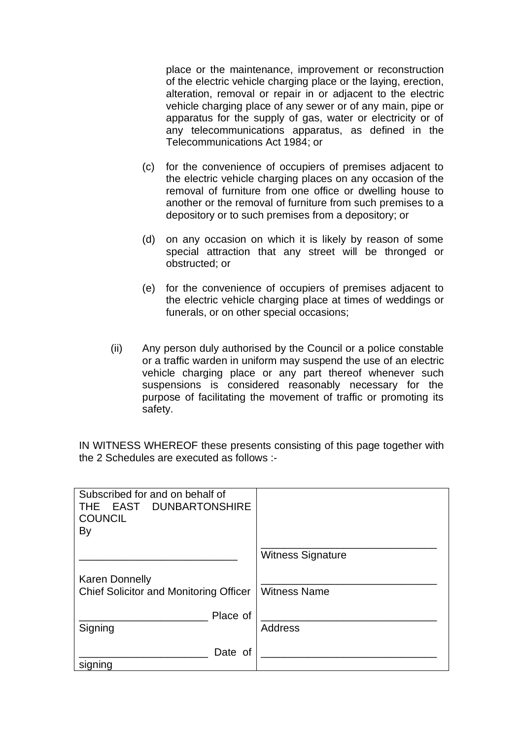place or the maintenance, improvement or reconstruction of the electric vehicle charging place or the laying, erection, alteration, removal or repair in or adjacent to the electric vehicle charging place of any sewer or of any main, pipe or apparatus for the supply of gas, water or electricity or of any telecommunications apparatus, as defined in the Telecommunications Act 1984; or

- (c) for the convenience of occupiers of premises adjacent to the electric vehicle charging places on any occasion of the removal of furniture from one office or dwelling house to another or the removal of furniture from such premises to a depository or to such premises from a depository; or
- (d) on any occasion on which it is likely by reason of some special attraction that any street will be thronged or obstructed; or
- (e) for the convenience of occupiers of premises adjacent to the electric vehicle charging place at times of weddings or funerals, or on other special occasions;
- (ii) Any person duly authorised by the Council or a police constable or a traffic warden in uniform may suspend the use of an electric vehicle charging place or any part thereof whenever such suspensions is considered reasonably necessary for the purpose of facilitating the movement of traffic or promoting its safety.

IN WITNESS WHEREOF these presents consisting of this page together with the 2 Schedules are executed as follows :-

| Subscribed for and on behalf of<br>THE EAST DUNBARTONSHIRE<br><b>COUNCIL</b><br>By |                          |
|------------------------------------------------------------------------------------|--------------------------|
|                                                                                    | <b>Witness Signature</b> |
| <b>Karen Donnelly</b><br><b>Chief Solicitor and Monitoring Officer</b>             | <b>Witness Name</b>      |
| Place of<br>Signing                                                                | <b>Address</b>           |
| Date of<br>signing                                                                 |                          |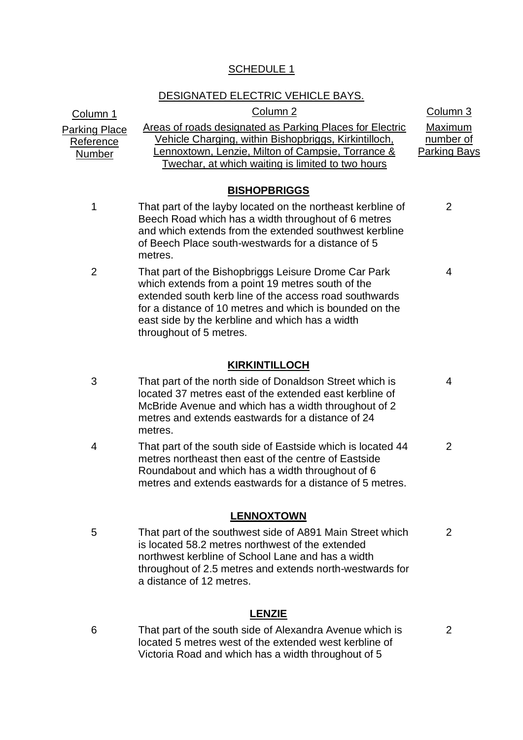# SCHEDULE 1

# DESIGNATED ELECTRIC VEHICLE BAYS.

| <u>Column 1</u>                                    | Column <sub>2</sub>                                                                                                                                                                                                                                                                                          | Column 3                                    |
|----------------------------------------------------|--------------------------------------------------------------------------------------------------------------------------------------------------------------------------------------------------------------------------------------------------------------------------------------------------------------|---------------------------------------------|
| <b>Parking Place</b><br>Reference<br><b>Number</b> | Areas of roads designated as Parking Places for Electric<br><u>Vehicle Charging, within Bishopbriggs, Kirkintilloch,</u><br>ennoxtown, Lenzie, Milton of Campsie, Torrance &<br>Twechar, at which waiting is limited to two hours                                                                            | Maximum<br>number of<br><b>Parking Bays</b> |
|                                                    | <b>BISHOPBRIGGS</b>                                                                                                                                                                                                                                                                                          |                                             |
| 1                                                  | That part of the layby located on the northeast kerbline of<br>Beech Road which has a width throughout of 6 metres<br>and which extends from the extended southwest kerbline<br>of Beech Place south-westwards for a distance of 5<br>metres.                                                                | 2                                           |
| 2                                                  | That part of the Bishopbriggs Leisure Drome Car Park<br>which extends from a point 19 metres south of the<br>extended south kerb line of the access road southwards<br>for a distance of 10 metres and which is bounded on the<br>east side by the kerbline and which has a width<br>throughout of 5 metres. | 4                                           |
|                                                    | <b>KIRKINTILLOCH</b>                                                                                                                                                                                                                                                                                         |                                             |
| 3                                                  | That part of the north side of Donaldson Street which is<br>located 37 metres east of the extended east kerbline of<br>McBride Avenue and which has a width throughout of 2<br>metres and extends eastwards for a distance of 24<br>metres.                                                                  | 4                                           |
| 4                                                  | That part of the south side of Eastside which is located 44<br>metres northeast then east of the centre of Eastside<br>Roundabout and which has a width throughout of 6<br>metres and extends eastwards for a distance of 5 metres.                                                                          | $\overline{2}$                              |
|                                                    | <b>LENNOXTOWN</b>                                                                                                                                                                                                                                                                                            |                                             |
| 5                                                  | That part of the southwest side of A891 Main Street which<br>is located 58.2 metres northwest of the extended<br>northwest kerbline of School Lane and has a width<br>throughout of 2.5 metres and extends north-westwards for<br>a distance of 12 metres.                                                   | 2                                           |

# **LENZIE**

6 That part of the south side of Alexandra Avenue which is located 5 metres west of the extended west kerbline of Victoria Road and which has a width throughout of 5

2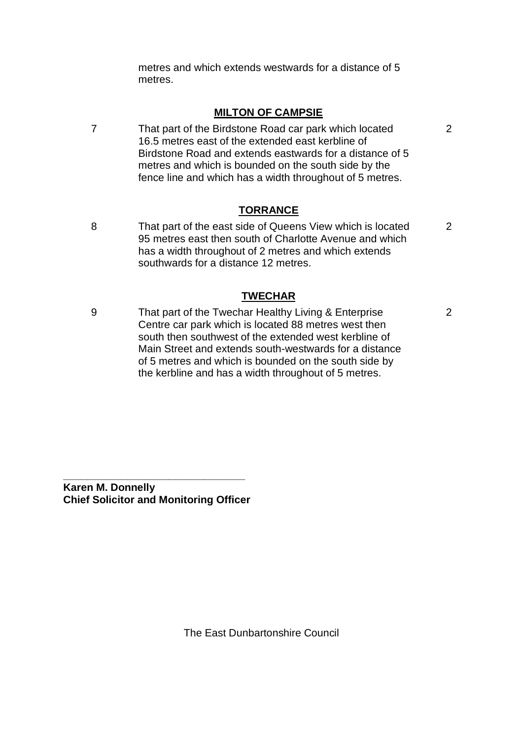metres and which extends westwards for a distance of 5 metres.

## **MILTON OF CAMPSIE**

7 That part of the Birdstone Road car park which located 16.5 metres east of the extended east kerbline of Birdstone Road and extends eastwards for a distance of 5 metres and which is bounded on the south side by the fence line and which has a width throughout of 5 metres.

# **TORRANCE**

8 That part of the east side of Queens View which is located 95 metres east then south of Charlotte Avenue and which has a width throughout of 2 metres and which extends southwards for a distance 12 metres. 2

## **TWECHAR**

9 That part of the Twechar Healthy Living & Enterprise Centre car park which is located 88 metres west then south then southwest of the extended west kerbline of Main Street and extends south-westwards for a distance of 5 metres and which is bounded on the south side by the kerbline and has a width throughout of 5 metres.

**Karen M. Donnelly Chief Solicitor and Monitoring Officer**

**\_\_\_\_\_\_\_\_\_\_\_\_\_\_\_\_\_\_\_\_\_\_\_\_\_\_\_\_\_\_\_**

2

The East Dunbartonshire Council

2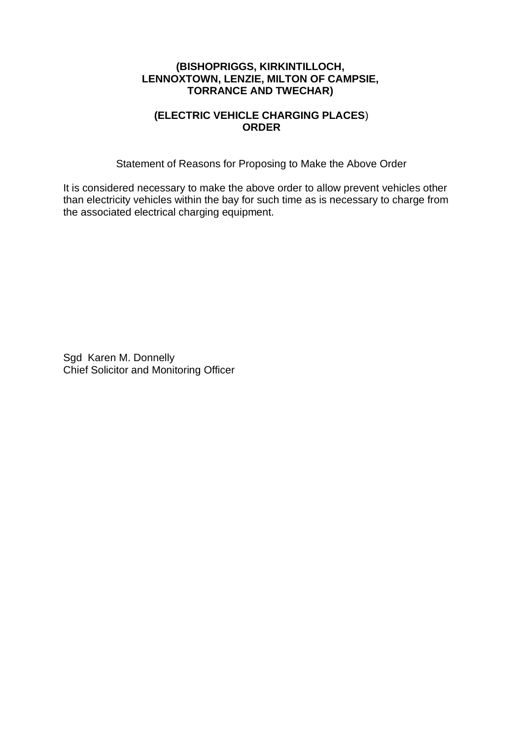## **(BISHOPRIGGS, KIRKINTILLOCH, LENNOXTOWN, LENZIE, MILTON OF CAMPSIE, TORRANCE AND TWECHAR)**

# **(ELECTRIC VEHICLE CHARGING PLACES**) **ORDER**

Statement of Reasons for Proposing to Make the Above Order

It is considered necessary to make the above order to allow prevent vehicles other than electricity vehicles within the bay for such time as is necessary to charge from the associated electrical charging equipment.

Sgd Karen M. Donnelly Chief Solicitor and Monitoring Officer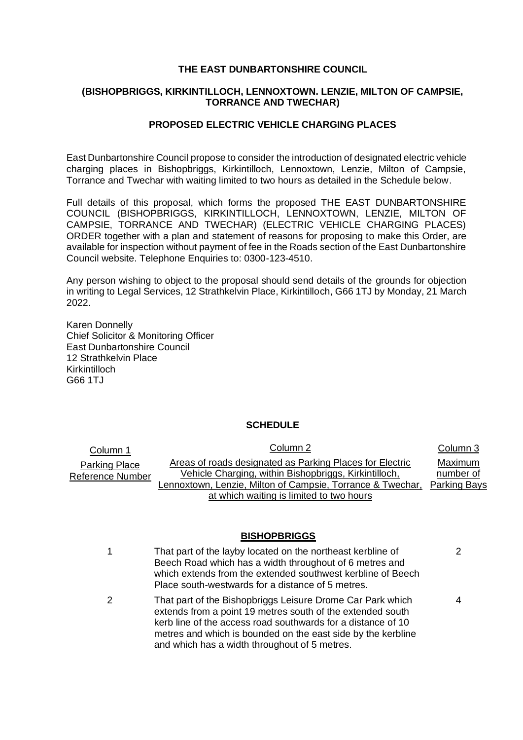#### **THE EAST DUNBARTONSHIRE COUNCIL**

## **(BISHOPBRIGGS, KIRKINTILLOCH, LENNOXTOWN. LENZIE, MILTON OF CAMPSIE, TORRANCE AND TWECHAR)**

## **PROPOSED ELECTRIC VEHICLE CHARGING PLACES**

East Dunbartonshire Council propose to consider the introduction of designated electric vehicle charging places in Bishopbriggs, Kirkintilloch, Lennoxtown, Lenzie, Milton of Campsie, Torrance and Twechar with waiting limited to two hours as detailed in the Schedule below.

Full details of this proposal, which forms the proposed THE EAST DUNBARTONSHIRE COUNCIL (BISHOPBRIGGS, KIRKINTILLOCH, LENNOXTOWN, LENZIE, MILTON OF CAMPSIE, TORRANCE AND TWECHAR) (ELECTRIC VEHICLE CHARGING PLACES) ORDER together with a plan and statement of reasons for proposing to make this Order, are available for inspection without payment of fee in the Roads section of the East Dunbartonshire Council website. Telephone Enquiries to: 0300-123-4510.

Any person wishing to object to the proposal should send details of the grounds for objection in writing to Legal Services, 12 Strathkelvin Place, Kirkintilloch, G66 1TJ by Monday, 21 March 2022.

Karen Donnelly Chief Solicitor & Monitoring Officer East Dunbartonshire Council 12 Strathkelvin Place Kirkintilloch G66 1TJ

## **SCHEDULE**

| Column 1                                 | Column 2                                                                                                          | Column 3             |
|------------------------------------------|-------------------------------------------------------------------------------------------------------------------|----------------------|
| Parking Place<br><b>Reference Number</b> | Areas of roads designated as Parking Places for Electric<br>Vehicle Charging, within Bishopbriggs, Kirkintilloch, | Maximum<br>number of |
|                                          | Lennoxtown, Lenzie, Milton of Campsie, Torrance & Twechar,                                                        | Parking Bays         |
|                                          | at which waiting is limited to two hours                                                                          |                      |

## **BISHOPBRIGGS**

| 1 | That part of the layby located on the northeast kerbline of<br>Beech Road which has a width throughout of 6 metres and<br>which extends from the extended southwest kerbline of Beech<br>Place south-westwards for a distance of 5 metres.                                                                | 2 |
|---|-----------------------------------------------------------------------------------------------------------------------------------------------------------------------------------------------------------------------------------------------------------------------------------------------------------|---|
| 2 | That part of the Bishopbriggs Leisure Drome Car Park which<br>extends from a point 19 metres south of the extended south<br>kerb line of the access road southwards for a distance of 10<br>metres and which is bounded on the east side by the kerbline<br>and which has a width throughout of 5 metres. | 4 |